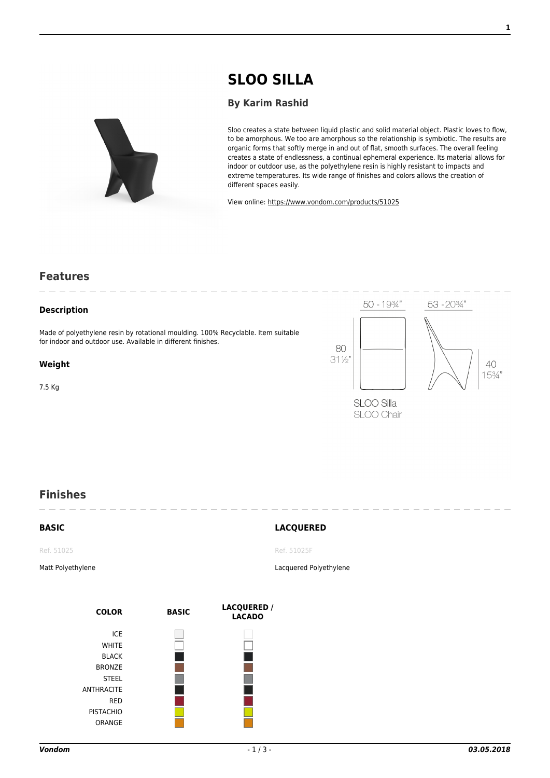# **[SLOO SILLA](https://www.vondom.com/products/?product=51025)**

#### **[By Karim Rashid](https://www.vondom.com/designers/karim-rashid/)**

Sloo creates a state between liquid plastic and solid material object. Plastic loves to flow, to be amorphous. We too are amorphous so the relationship is symbiotic. The results are organic forms that softly merge in and out of flat, smooth surfaces. The overall feeling creates a state of endlessness, a continual ephemeral experience. Its material allows for indoor or outdoor use, as the polyethylene resin is highly resistant to impacts and extreme temperatures. Its wide range of finishes and colors allows the creation of different spaces easily.

View online: [https://www.vondom.com/products/51025](https://www.vondom.com/products/?product=51025)

### **Features**

#### **Description**

Made of polyethylene resin by rotational moulding. 100% Recyclable. Item suitable for indoor and outdoor use. Available in different finishes.

#### **Weight**

7.5 Kg



## **Finishes**

**BASIC**

#### **LACQUERED**

Ref. 51025

Matt Polyethylene

**COLOR BASIC LACQUERED / LACADO** ICE **WHITE** BLACK **BRONZE** STEEL ANTHRACITE RED PISTACHIO ORANGE

Ref. 51025F

Lacquered Polyethylene

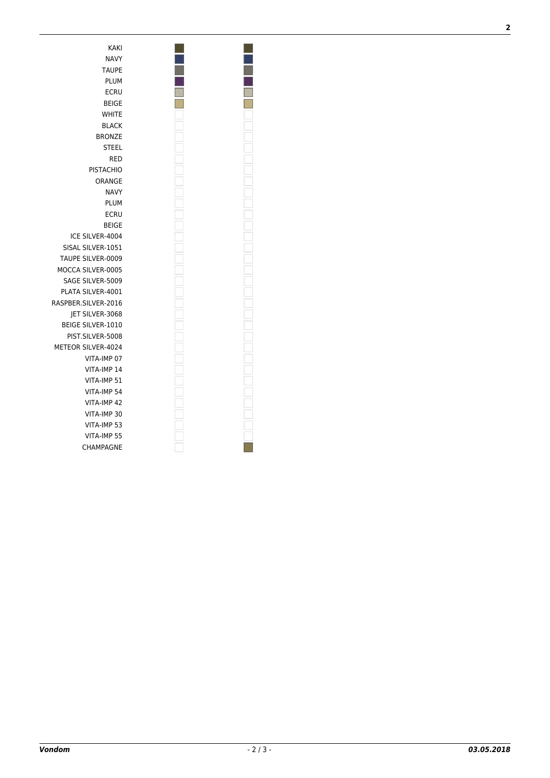KAKI NAVY TAUPE PLUM ECRU BEIGE WHITE BLACK BRONZE STEEL RED PISTACHIO ORANGE NAVY PLUM ECRU BEIGE ICE SILVER-4004 SISAL SILVER-1051 TAUPE SILVER-0009 MOCCA SILVER-0005 SAGE SILVER-5009 PLATA SILVER-4001 RASPBER.SILVER-2016 JET SILVER-3068 BEIGE SILVER-1010 PIST.SILVER-5008 METEOR SILVER-4024 VITA-IMP 07 VITA-IMP 14 VITA-IMP 51 VITA-IMP 54 VITA-IMP 42 VITA-IMP 30 VITA-IMP 53 VITA-IMP 55 CHAMPAGNE

 $\Box$  $\overline{\Box}$  **2**